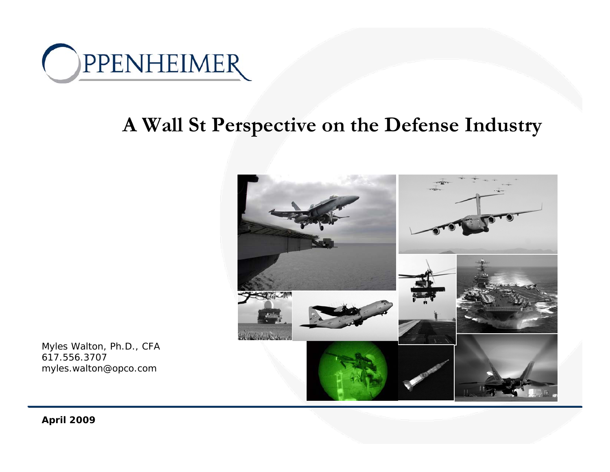

### **A Wall St Perspective on the Defense Industry**



Myles Walton, Ph.D., CFA 617.556.3707*myles.walton@opco.com*

**April 2009**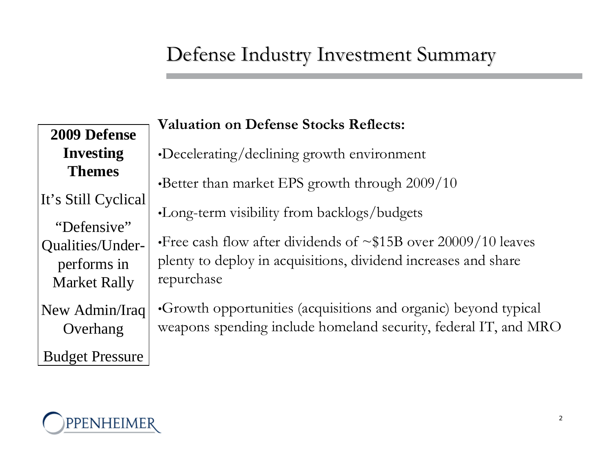## Defense Industry Investment Summary

**2009 Defense Investing Themes**It's Still Cyclical "Defensive" Qualities/Underperforms in Market Rally New Admin/Iraq Overhang

**Valuation on Defense Stocks Reflects:**

•Decelerating/declining growth environment

•Better than market EPS growth through 2009/10

•Long-term visibility from backlogs/budgets

•Free cash flow after dividends of  $\sim$ \$15B over 20009/10 leaves plenty to deploy in acquisitions, dividend increases and share repurchase

•Growth opportunities (acquisitions and organic) beyond typical weapons spending include homeland security, federal IT, and MRO



Budget Pressure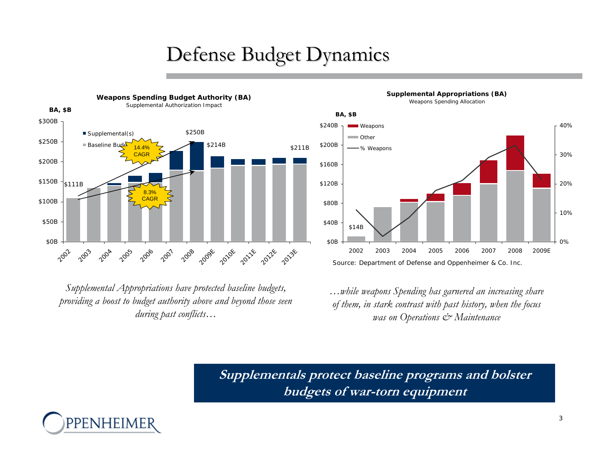# Defense Budget Dynamics



*Supplemental Appropriations have protected baseline budgets, providing a boost to budget authority above and beyond those seen during past conflicts…*

*…while weapons Spending has garnered an increasing share of them, in stark contrast with past history, when the focus was on Operations & Maintenance*

**Supplementals protect baseline programs and bolster budgets of war-torn equipment**





**Supplemental Appropriations (BA)** Weapons Spending Allocation

3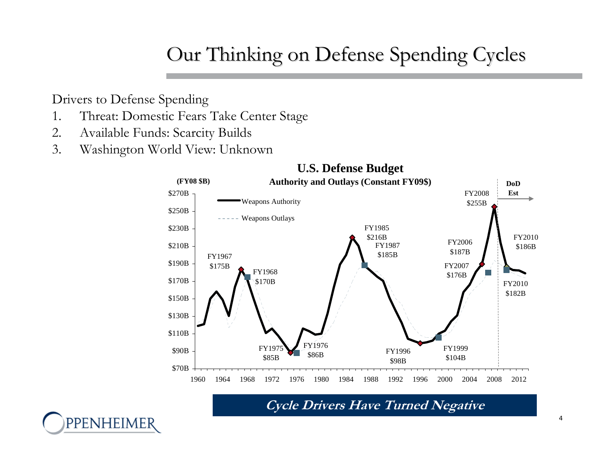# Our Thinking on Defense Spending Cycles

Drivers to Defense Spending

PPENHEIMER

- 1. Threat: Domestic Fears Take Center Stage
- 2. Available Funds: Scarcity Builds
- 3. Washington World View: Unknown



**Cycle Drivers Have Turned Negative**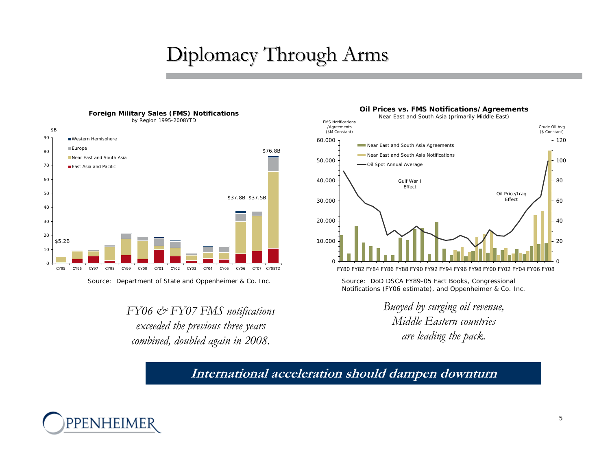# Diplomacy Through Arms



*Source: Department of State and Oppenheimer & Co. Inc. Source: DoD DSCA FY89-05 Fact Books, Congressional* 

*FY06 & FY07 FMS notifications exceeded the previous three years combined, doubled again in 2008.*

#### **Oil Prices vs. FMS Notifications/Agreements** Near East and South Asia (primarily Middle East)



*Notifications (FY06 estimate), and Oppenheimer & Co. Inc.*

*Buoyed by surging oil revenue, Middle Eastern countries are leading the pack.* 

#### **International acceleration should dampen downturn**

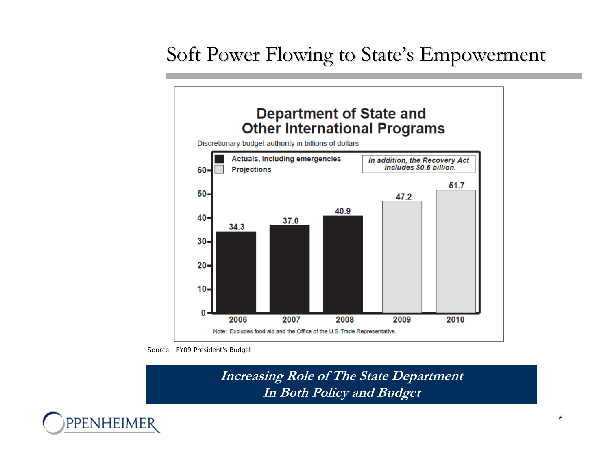## Soft Power Flowing to State's Empowerment



*Source: FY09 President's Budget*

**Increasing Role of The State Department In Both Policy and Budget**

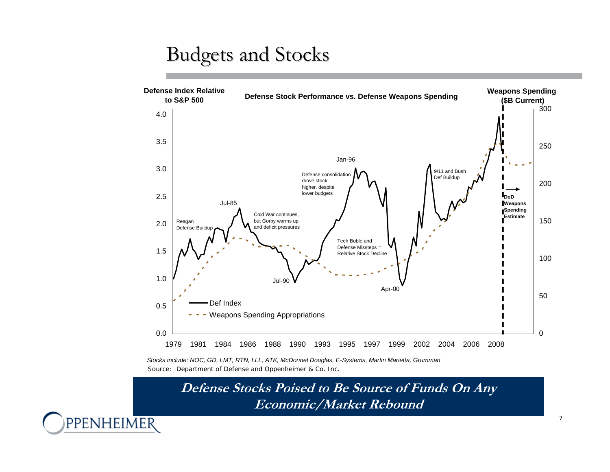### **Budgets and Stocks**



*Source: Department of Defense and Oppenheimer & Co. Inc. Stocks include: NOC, GD, LMT, RTN, LLL, ATK, McDonnel Douglas, E-Systems, Martin Marietta, Grumman*

PPENHEIMER

**Defense Stocks Poised to Be Source of Funds On Any Economic/Market Rebound**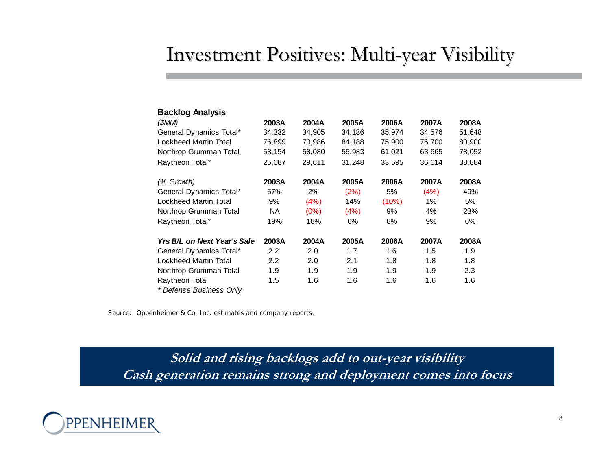### Investment Positives: Multi-year Visibility

| <b>Backlog Analysis</b>     |                  |        |        |        |        |        |
|-----------------------------|------------------|--------|--------|--------|--------|--------|
| (\$MM)                      | 2003A            | 2004A  | 2005A  | 2006A  | 2007A  | 2008A  |
| General Dynamics Total*     | 34,332           | 34,905 | 34,136 | 35,974 | 34,576 | 51,648 |
| Lockheed Martin Total       | 76,899           | 73,986 | 84,188 | 75,900 | 76,700 | 80,900 |
| Northrop Grumman Total      | 58,154           | 58,080 | 55,983 | 61,021 | 63,665 | 78,052 |
| Raytheon Total*             | 25,087           | 29,611 | 31,248 | 33,595 | 36,614 | 38,884 |
| (% Growth)                  | 2003A            | 2004A  | 2005A  | 2006A  | 2007A  | 2008A  |
| General Dynamics Total*     | 57%              | 2%     | (2%)   | 5%     | (4%)   | 49%    |
| Lockheed Martin Total       | 9%               | (4%)   | 14%    | (10%)  | $1\%$  | 5%     |
| Northrop Grumman Total      | NA.              | (0%)   | (4%)   | 9%     | 4%     | 23%    |
| Raytheon Total*             | 19%              | 18%    | 6%     | 8%     | 9%     | 6%     |
| Yrs B/L on Next Year's Sale | 2003A            | 2004A  | 2005A  | 2006A  | 2007A  | 2008A  |
| General Dynamics Total*     | $2.2\phantom{0}$ | 2.0    | 1.7    | 1.6    | 1.5    | 1.9    |
| Lockheed Martin Total       | $2.2\phantom{0}$ | 2.0    | 2.1    | 1.8    | 1.8    | 1.8    |
| Northrop Grumman Total      | 1.9              | 1.9    | 1.9    | 1.9    | 1.9    | 2.3    |
| Raytheon Total              | 1.5              | 1.6    | 1.6    | 1.6    | 1.6    | 1.6    |
| * Defense Business Onlv     |                  |        |        |        |        |        |

*Source: Oppenheimer & Co. Inc. estimates and company reports.*

**Solid and rising backlogs add to out-year visibility Cash generation remains strong and deployment comes into focus**

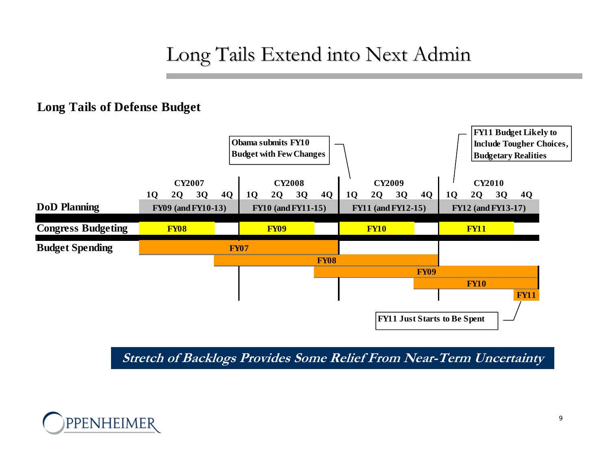## Long Tails Extend into Next Admin

#### **Long Tails of Defense Budget**



**Stretch of Backlogs Provides Some Relief From Near-Term Uncertainty**

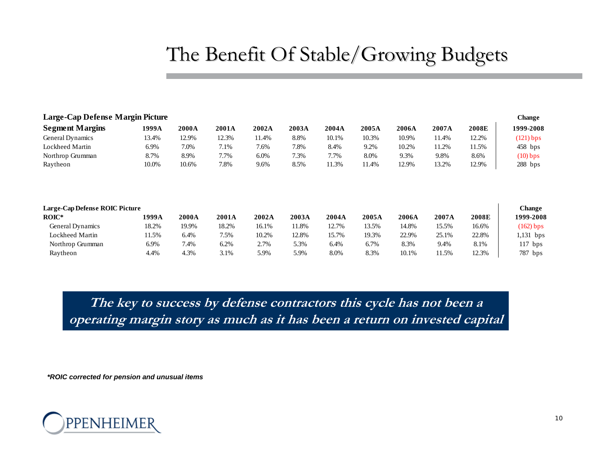## The Benefit Of Stable/Growing Budgets

| Large-Cap Defense Margin Picture |       |       |       |       |       |       |       |              |       |       | <b>Change</b> |
|----------------------------------|-------|-------|-------|-------|-------|-------|-------|--------------|-------|-------|---------------|
| <b>Segment Margins</b>           | 1999A | 2000A | 2001A | 2002A | 2003A | 2004A | 2005A | 2006A        | 2007A | 2008E | 1999-2008     |
| General Dynamics                 | 13.4% | 12.9% | 12.3% | 11.4% | 8.8%  | 10.1% | 10.3% | 10.9%        | 11.4% | 12.2% | $(121)$ bps   |
| Lockheed Martin                  | 6.9%  | 7.0%  | 7.1%  | 7.6%  | 7.8%  | 8.4%  | 9.2%  | 10.2%        | 11.2% | 11.5% | $458$ bps     |
| Northrop Grumman                 | 8.7%  | 8.9%  | 7.7%  | 6.0%  | 7.3%  | 7.7%  | 8.0%  | 9.3%         | 9.8%  | 8.6%  | $(10)$ bps    |
| Raytheon                         | 10.0% | 10.6% | 7.8%  | 9.6%  | 8.5%  | 11.3% | 11.4% | 12.9%        | 13.2% | 12.9% | $288$ bps     |
| Large-Cap Defense ROIC Picture   |       |       |       |       |       |       |       |              |       |       | <b>Change</b> |
| $ROIC*$                          | 1999A | 2000A | 2001A | 2002A | 2003A | 2004A | 2005A | <b>2006A</b> | 2007A | 2008E | 1999-2008     |
| General Dynamics                 | 18.2% | 19.9% | 18.2% | 16.1% | 11.8% | 12.7% | 13.5% | 14.8%        | 15.5% | 16.6% | $(162)$ bps   |
| Lockheed Martin                  | 11.5% | 6.4%  | 7.5%  | 10.2% | 12.8% | 15.7% | 19.3% | 22.9%        | 25.1% | 22.8% | $1,131$ bps   |
| Northrop Grumman                 | 6.9%  | 7.4%  | 6.2%  | 2.7%  | 5.3%  | 6.4%  | 6.7%  | 8.3%         | 9.4%  | 8.1%  | $117$ bps     |
| Raytheon                         | 4.4%  | 4.3%  | 3.1%  | 5.9%  | 5.9%  | 8.0%  | 8.3%  | 10.1%        | 11.5% | 12.3% | 787 bps       |

**The key to success by defense contractors this cycle has not been a operating margin story as much as it has been a return on invested capital**

*\*ROIC corrected for pension and unusual items*

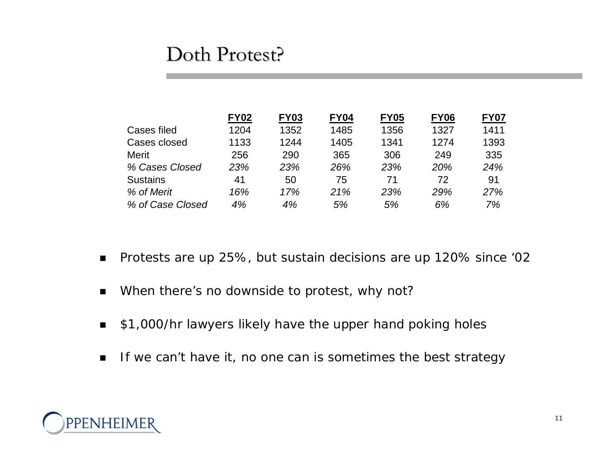#### Doth Protest?

|                  | <b>FY02</b> | <b>FY03</b> | <b>FY04</b> | <b>FY05</b> | <b>FY06</b> | <b>FY07</b> |
|------------------|-------------|-------------|-------------|-------------|-------------|-------------|
| Cases filed      | 1204        | 1352        | 1485        | 1356        | 1327        | 1411        |
| Cases closed     | 1133        | 1244        | 1405        | 1341        | 1274        | 1393        |
| Merit            | 256         | 290         | 365         | 306         | 249         | 335         |
| % Cases Closed   | 23%         | 23%         | 26%         | 23%         | 20%         | 24%         |
| <b>Sustains</b>  | 41          | 50          | 75          | 71          | 72          | 91          |
| % of Merit       | 16%         | 17%         | 21%         | 23%         | 29%         | 27%         |
| % of Case Closed | 4%          | 4%          | 5%          | 5%          | 6%          | 7%          |

- $\blacksquare$ Protests are up 25%, but sustain decisions are up 120% since '02
- $\blacksquare$ When there's no downside to protest, why not?
- $\blacksquare$ \$1,000/hr lawyers likely have the upper hand poking holes
- $\blacksquare$ If we can't have it, no one can is sometimes the best strategy

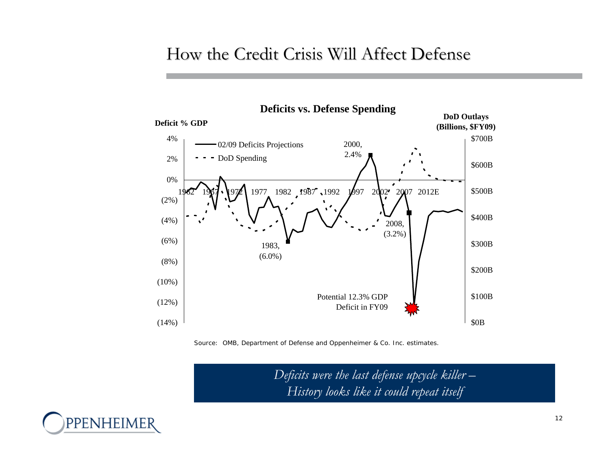#### How the Credit Crisis Will Affect Defense





*Deficits were the last defense upcycle killer – History looks like it could repeat itself*

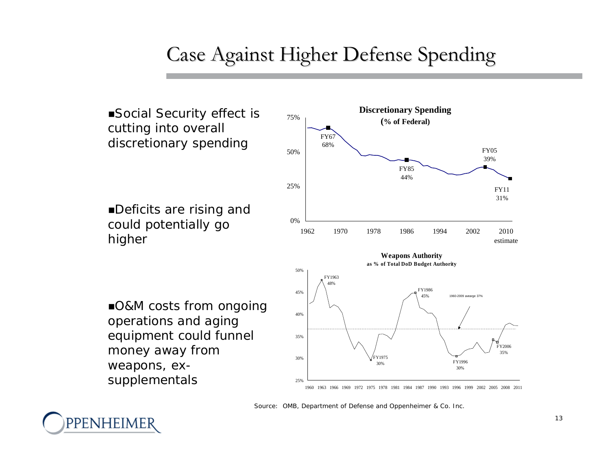## Case Against Higher Defense Spending



ppenheim

*Source: OMB, Department of Defense and Oppenheimer & Co. Inc.*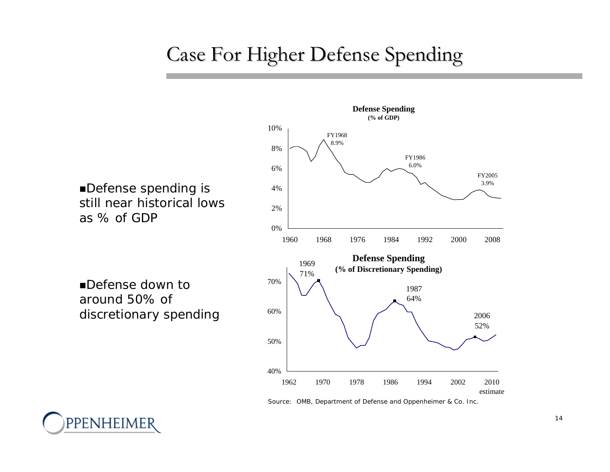## Case For Higher Defense Spending

*Defense spending is still near historical lows as % of GDP*

*Defense down to around 50% of discretionary spending*

ppenheimer



*Source: OMB, Department of Defense and Oppenheimer & Co. Inc.*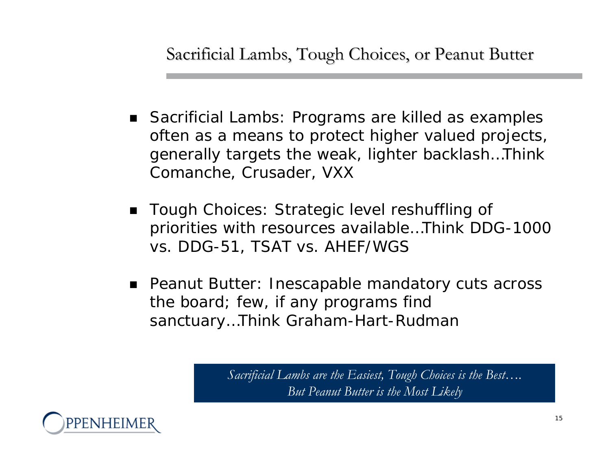Sacrificial Lambs, Tough Choices, or Peanut Butter

- Sacrificial Lambs: Programs are killed as examples often as a means to protect higher valued projects, generally targets the weak, lighter backlash…Think Comanche, Crusader, VXX
- $\blacksquare$  Tough Choices: Strategic level reshuffling of priorities with resources available…Think DDG-1000 vs. DDG-51, TSAT vs. AHEF/WGS
- Peanut Butter: Inescapable mandatory cuts across the board; few, if any programs find sanctuary…Think Graham-Hart-Rudman

*Sacrificial Lambs are the Easiest, Tough Choices is the Best…. But Peanut Butter is the Most Likely*

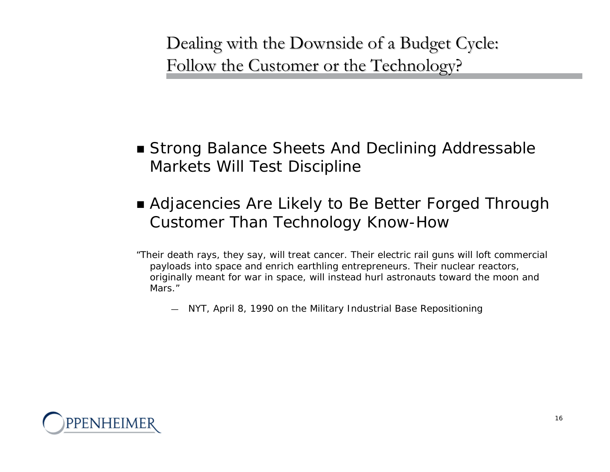Dealing with the Downside of a Budget Cycle: Follow the Customer or the Technology?

- Strong Balance Sheets And Declining Addressable Markets Will Test Discipline
- Adjacencies Are Likely to Be Better Forged Through Customer Than Technology Know-How
- *"Their death rays, they say, will treat cancer. Their electric rail guns will loft commercial payloads into space and enrich earthling entrepreneurs. Their nuclear reactors, originally meant for war in space, will instead hurl astronauts toward the moon and Mars."*
	- *NYT, April 8, 1990 on the Military Industrial Base Repositioning*

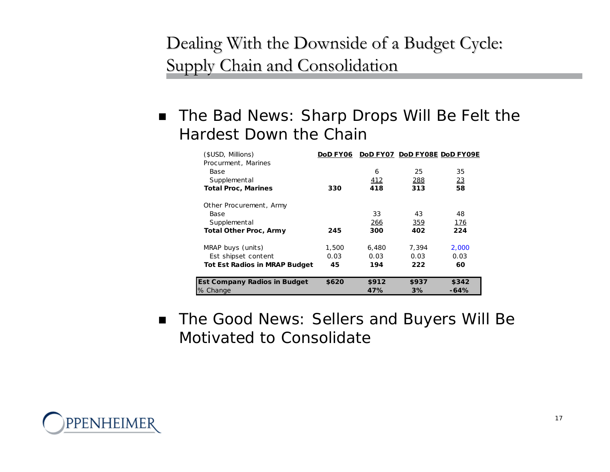### Dealing With the Downside of a Budget Cycle: Supply Chain and Consolidation

 $\blacksquare$  The Bad News: Sharp Drops Will Be Felt the Hardest Down the Chain

| (\$USD, Millions)                    |       |       |       | DoD FY06 DoD FY07 DoD FY08E DoD FY09E |
|--------------------------------------|-------|-------|-------|---------------------------------------|
| Procurment, Marines                  |       |       |       |                                       |
| Base                                 |       | 6     | 25    | 35                                    |
| Supplemental                         |       | 412   | 288   | 23                                    |
| <b>Total Proc, Marines</b>           | 330   | 418   | 313   | 58                                    |
| Other Procurement, Army              |       |       |       |                                       |
| Base                                 |       | 33    | 43    | 48                                    |
| Supplemental                         |       | 266   | 359   | 176                                   |
| <b>Total Other Proc, Army</b>        | 245   | 300   | 402   | 224                                   |
| MRAP buys (units)                    | 1,500 | 6,480 | 7,394 | 2,000                                 |
| Est shipset content                  | 0.03  | 0.03  | 0.03  | 0.03                                  |
| <b>Tot Est Radios in MRAP Budget</b> | 45    | 194   | 222   | 60                                    |
| <b>Est Company Radios in Budget</b>  | \$620 | \$912 | \$937 | \$342                                 |
| % Change                             |       | 47%   | 3%    | -64%                                  |

 $\blacksquare$  The Good News: Sellers and Buyers Will Be Motivated to Consolidate

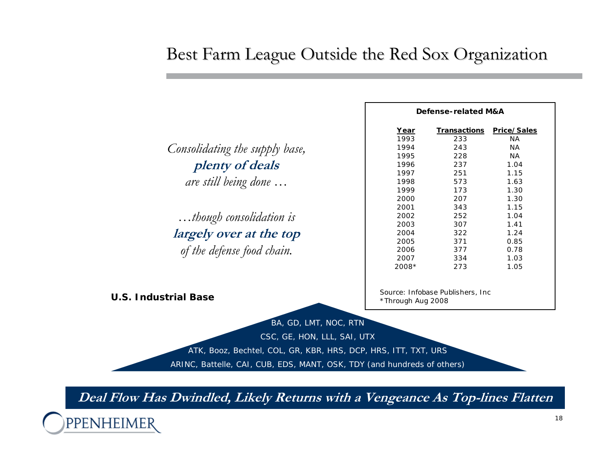#### Best Farm League Outside the Red Sox Organization

| Consolidating the supply base, |
|--------------------------------|
| plenty of deals                |
| are still being done           |

*…though consolidation is* **largely over at the top** *of the defense food chain.*

| <b>Defense-related M&amp;A</b> |              |             |  |  |  |  |
|--------------------------------|--------------|-------------|--|--|--|--|
| Year                           | Transactions | Price/Sales |  |  |  |  |
| 1993                           | 233          | ΝA          |  |  |  |  |
| 1994                           | 243          | ΝA          |  |  |  |  |
| 1995                           | 228          | ΝA          |  |  |  |  |
| 1996                           | 237          | 1.04        |  |  |  |  |
| 1997                           | 251          | 1.15        |  |  |  |  |
| 1998                           | 573          | 1.63        |  |  |  |  |
| 1999                           | 173          | 1.30        |  |  |  |  |
| 2000                           | 207          | 1.30        |  |  |  |  |
| 2001                           | 343          | 1.15        |  |  |  |  |
| 2002                           | 252          | 1.04        |  |  |  |  |
| 2003                           | 307          | 1.41        |  |  |  |  |
| 2004                           | 322          | 1.24        |  |  |  |  |
| 2005                           | 371          | 0.85        |  |  |  |  |
| 2006                           | 377          | 0.78        |  |  |  |  |
| 2007                           | 334          | 1.03        |  |  |  |  |
| 2008*                          | 273          | 1.05        |  |  |  |  |

*\*Through Aug 2008 Source: Infobase Publishers, Inc* **U.S. Industrial Base**

BA, GD, LMT, NOC, RTN

CSC, GE, HON, LLL, SAI, UTX

ATK, Booz, Bechtel, COL, GR, KBR, HRS, DCP, HRS, ITT, TXT, URS

ARINC, Battelle, CAI, CUB, EDS, MANT, OSK, TDY (and hundreds of others)

**Deal Flow Has Dwindled, Likely Returns with a Vengeance As Top-lines Flatten**